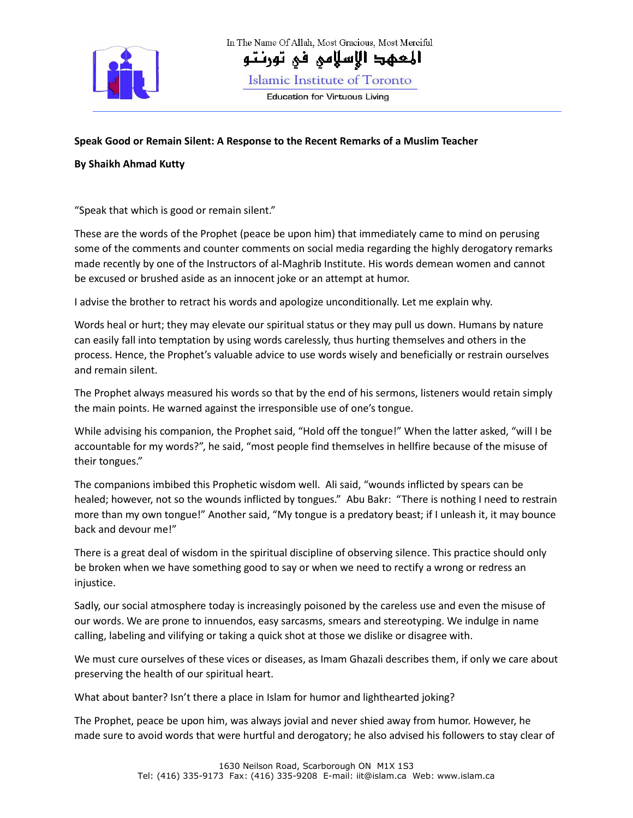

In The Name Of Allah, Most Gracious, Most Merciful

المعهد الإسلامي في تورنتو

Islamic Institute of Toronto

**Education for Virtuous Living** 

## **Speak Good or Remain Silent: A Response to the Recent Remarks of a Muslim Teacher**

## **By Shaikh Ahmad Kutty**

"Speak that which is good or remain silent."

These are the words of the Prophet (peace be upon him) that immediately came to mind on perusing some of the comments and counter comments on social media regarding the highly derogatory remarks made recently by one of the Instructors of al-Maghrib Institute. His words demean women and cannot be excused or brushed aside as an innocent joke or an attempt at humor.

I advise the brother to retract his words and apologize unconditionally. Let me explain why.

Words heal or hurt; they may elevate our spiritual status or they may pull us down. Humans by nature can easily fall into temptation by using words carelessly, thus hurting themselves and others in the process. Hence, the Prophet's valuable advice to use words wisely and beneficially or restrain ourselves and remain silent.

The Prophet always measured his words so that by the end of his sermons, listeners would retain simply the main points. He warned against the irresponsible use of one's tongue.

While advising his companion, the Prophet said, "Hold off the tongue!" When the latter asked, "will I be accountable for my words?", he said, "most people find themselves in hellfire because of the misuse of their tongues."

The companions imbibed this Prophetic wisdom well. Ali said, "wounds inflicted by spears can be healed; however, not so the wounds inflicted by tongues." Abu Bakr: "There is nothing I need to restrain more than my own tongue!" Another said, "My tongue is a predatory beast; if I unleash it, it may bounce back and devour me!"

There is a great deal of wisdom in the spiritual discipline of observing silence. This practice should only be broken when we have something good to say or when we need to rectify a wrong or redress an injustice.

Sadly, our social atmosphere today is increasingly poisoned by the careless use and even the misuse of our words. We are prone to innuendos, easy sarcasms, smears and stereotyping. We indulge in name calling, labeling and vilifying or taking a quick shot at those we dislike or disagree with.

We must cure ourselves of these vices or diseases, as Imam Ghazali describes them, if only we care about preserving the health of our spiritual heart.

What about banter? Isn't there a place in Islam for humor and lighthearted joking?

The Prophet, peace be upon him, was always jovial and never shied away from humor. However, he made sure to avoid words that were hurtful and derogatory; he also advised his followers to stay clear of